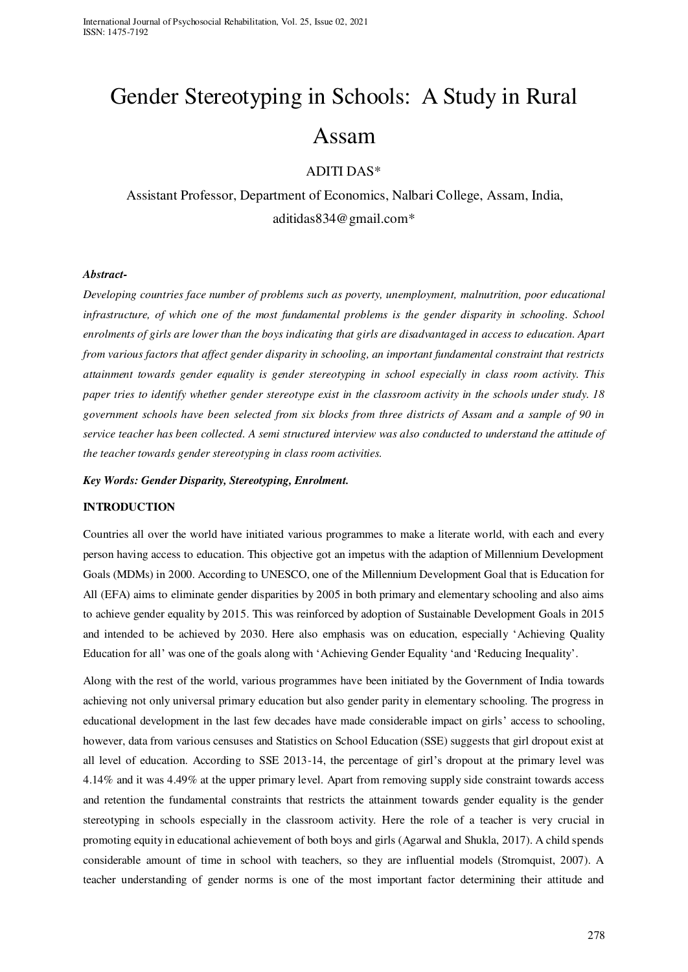# Gender Stereotyping in Schools: A Study in Rural Assam

## ADITI DAS\*

 Assistant Professor, Department of Economics, Nalbari College, Assam, India, aditidas834@gmail.com\*

### *Abstract-*

*Developing countries face number of problems such as poverty, unemployment, malnutrition, poor educational*  infrastructure, of which one of the most fundamental problems is the gender disparity in schooling. School *enrolments of girls are lower than the boys indicating that girls are disadvantaged in access to education. Apart from various factors that affect gender disparity in schooling, an important fundamental constraint that restricts attainment towards gender equality is gender stereotyping in school especially in class room activity. This paper tries to identify whether gender stereotype exist in the classroom activity in the schools under study. 18 government schools have been selected from six blocks from three districts of Assam and a sample of 90 in service teacher has been collected. A semi structured interview was also conducted to understand the attitude of the teacher towards gender stereotyping in class room activities.* 

*Key Words: Gender Disparity, Stereotyping, Enrolment.* 

### **INTRODUCTION**

Countries all over the world have initiated various programmes to make a literate world, with each and every person having access to education. This objective got an impetus with the adaption of Millennium Development Goals (MDMs) in 2000. According to UNESCO, one of the Millennium Development Goal that is Education for All (EFA) aims to eliminate gender disparities by 2005 in both primary and elementary schooling and also aims to achieve gender equality by 2015. This was reinforced by adoption of Sustainable Development Goals in 2015 and intended to be achieved by 2030. Here also emphasis was on education, especially 'Achieving Quality Education for all' was one of the goals along with 'Achieving Gender Equality 'and 'Reducing Inequality'.

Along with the rest of the world, various programmes have been initiated by the Government of India towards achieving not only universal primary education but also gender parity in elementary schooling. The progress in educational development in the last few decades have made considerable impact on girls' access to schooling, however, data from various censuses and Statistics on School Education (SSE) suggests that girl dropout exist at all level of education. According to SSE 2013-14, the percentage of girl's dropout at the primary level was 4.14% and it was 4.49% at the upper primary level. Apart from removing supply side constraint towards access and retention the fundamental constraints that restricts the attainment towards gender equality is the gender stereotyping in schools especially in the classroom activity. Here the role of a teacher is very crucial in promoting equity in educational achievement of both boys and girls (Agarwal and Shukla, 2017). A child spends considerable amount of time in school with teachers, so they are influential models (Stromquist, 2007). A teacher understanding of gender norms is one of the most important factor determining their attitude and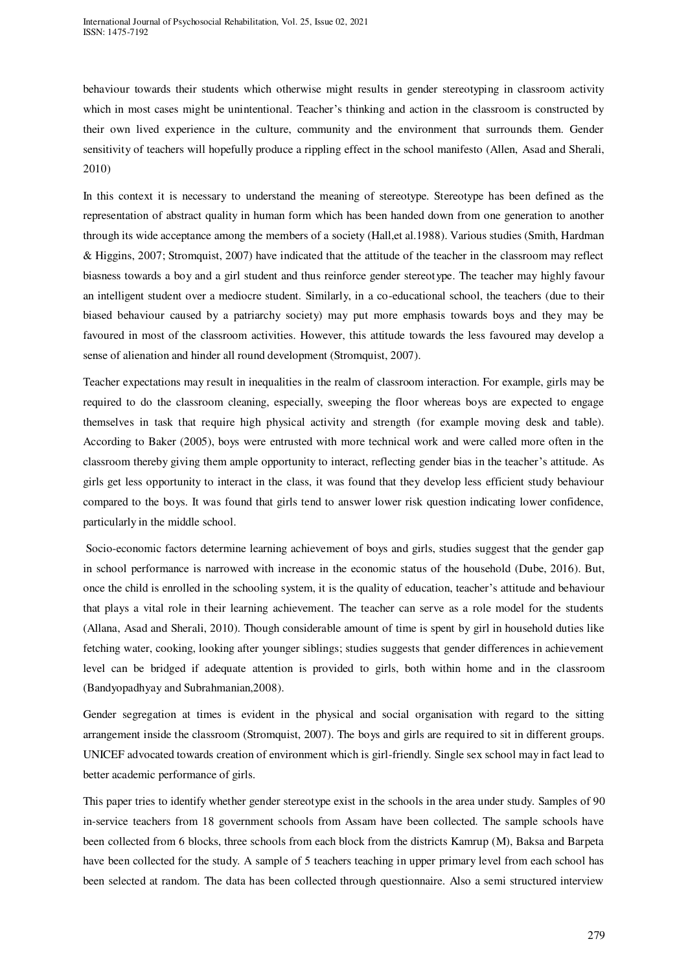behaviour towards their students which otherwise might results in gender stereotyping in classroom activity which in most cases might be unintentional. Teacher's thinking and action in the classroom is constructed by their own lived experience in the culture, community and the environment that surrounds them. Gender sensitivity of teachers will hopefully produce a rippling effect in the school manifesto (Allen, Asad and Sherali, 2010)

In this context it is necessary to understand the meaning of stereotype. Stereotype has been defined as the representation of abstract quality in human form which has been handed down from one generation to another through its wide acceptance among the members of a society (Hall,et al.1988). Various studies (Smith, Hardman & Higgins, 2007; Stromquist, 2007) have indicated that the attitude of the teacher in the classroom may reflect biasness towards a boy and a girl student and thus reinforce gender stereotype. The teacher may highly favour an intelligent student over a mediocre student. Similarly, in a co-educational school, the teachers (due to their biased behaviour caused by a patriarchy society) may put more emphasis towards boys and they may be favoured in most of the classroom activities. However, this attitude towards the less favoured may develop a sense of alienation and hinder all round development (Stromquist, 2007).

Teacher expectations may result in inequalities in the realm of classroom interaction. For example, girls may be required to do the classroom cleaning, especially, sweeping the floor whereas boys are expected to engage themselves in task that require high physical activity and strength (for example moving desk and table). According to Baker (2005), boys were entrusted with more technical work and were called more often in the classroom thereby giving them ample opportunity to interact, reflecting gender bias in the teacher's attitude. As girls get less opportunity to interact in the class, it was found that they develop less efficient study behaviour compared to the boys. It was found that girls tend to answer lower risk question indicating lower confidence, particularly in the middle school.

 Socio-economic factors determine learning achievement of boys and girls, studies suggest that the gender gap in school performance is narrowed with increase in the economic status of the household (Dube, 2016). But, once the child is enrolled in the schooling system, it is the quality of education, teacher's attitude and behaviour that plays a vital role in their learning achievement. The teacher can serve as a role model for the students (Allana, Asad and Sherali, 2010). Though considerable amount of time is spent by girl in household duties like fetching water, cooking, looking after younger siblings; studies suggests that gender differences in achievement level can be bridged if adequate attention is provided to girls, both within home and in the classroom (Bandyopadhyay and Subrahmanian,2008).

Gender segregation at times is evident in the physical and social organisation with regard to the sitting arrangement inside the classroom (Stromquist, 2007). The boys and girls are required to sit in different groups. UNICEF advocated towards creation of environment which is girl-friendly. Single sex school may in fact lead to better academic performance of girls.

This paper tries to identify whether gender stereotype exist in the schools in the area under study. Samples of 90 in-service teachers from 18 government schools from Assam have been collected. The sample schools have been collected from 6 blocks, three schools from each block from the districts Kamrup (M), Baksa and Barpeta have been collected for the study. A sample of 5 teachers teaching in upper primary level from each school has been selected at random. The data has been collected through questionnaire. Also a semi structured interview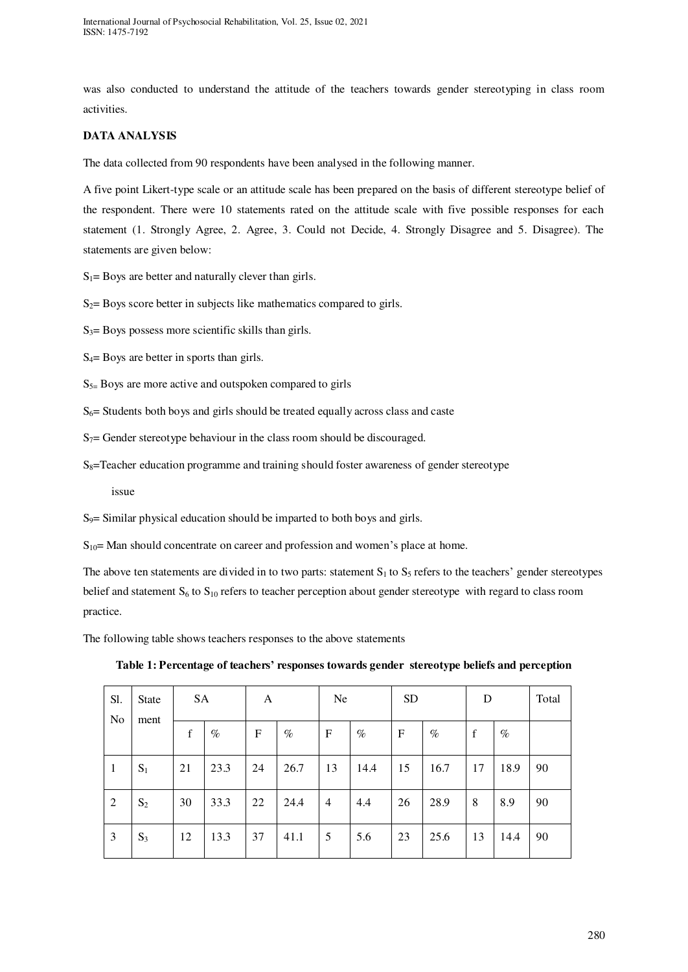was also conducted to understand the attitude of the teachers towards gender stereotyping in class room activities.

## **DATA ANALYSIS**

The data collected from 90 respondents have been analysed in the following manner.

A five point Likert-type scale or an attitude scale has been prepared on the basis of different stereotype belief of the respondent. There were 10 statements rated on the attitude scale with five possible responses for each statement (1. Strongly Agree, 2. Agree, 3. Could not Decide, 4. Strongly Disagree and 5. Disagree). The statements are given below:

 $S_1$ = Boys are better and naturally clever than girls.

 $S_2$ = Boys score better in subjects like mathematics compared to girls.

 $S_3$ = Boys possess more scientific skills than girls.

 $S_4$ = Boys are better in sports than girls.

 $S_{5=}$  Boys are more active and outspoken compared to girls

 $S_6$ = Students both boys and girls should be treated equally across class and caste

 $S_7$ = Gender stereotype behaviour in the class room should be discouraged.

 $S_8$ =Teacher education programme and training should foster awareness of gender stereotype

issue

 $S<sub>9</sub>=$  Similar physical education should be imparted to both boys and girls.

 $S_{10}$  Man should concentrate on career and profession and women's place at home.

The above ten statements are divided in to two parts: statement  $S_1$  to  $S_5$  refers to the teachers' gender stereotypes belief and statement  $S_6$  to  $S_{10}$  refers to teacher perception about gender stereotype with regard to class room practice.

The following table shows teachers responses to the above statements

**Table 1: Percentage of teachers' responses towards gender stereotype beliefs and perception** 

| Sl.            | State | SA |      | A           |      | Ne |      | <b>SD</b>   |      | D           |      | Total |
|----------------|-------|----|------|-------------|------|----|------|-------------|------|-------------|------|-------|
| N <sub>o</sub> | ment  | f  | $\%$ | $\mathbf F$ | $\%$ | F  | $\%$ | $\mathbf F$ | $\%$ | $\mathbf f$ | $\%$ |       |
| -1             | $S_1$ | 21 | 23.3 | 24          | 26.7 | 13 | 14.4 | 15          | 16.7 | 17          | 18.9 | 90    |
| 2              | $S_2$ | 30 | 33.3 | 22          | 24.4 | 4  | 4.4  | 26          | 28.9 | 8           | 8.9  | 90    |
| 3              | $S_3$ | 12 | 13.3 | 37          | 41.1 | 5  | 5.6  | 23          | 25.6 | 13          | 14.4 | 90    |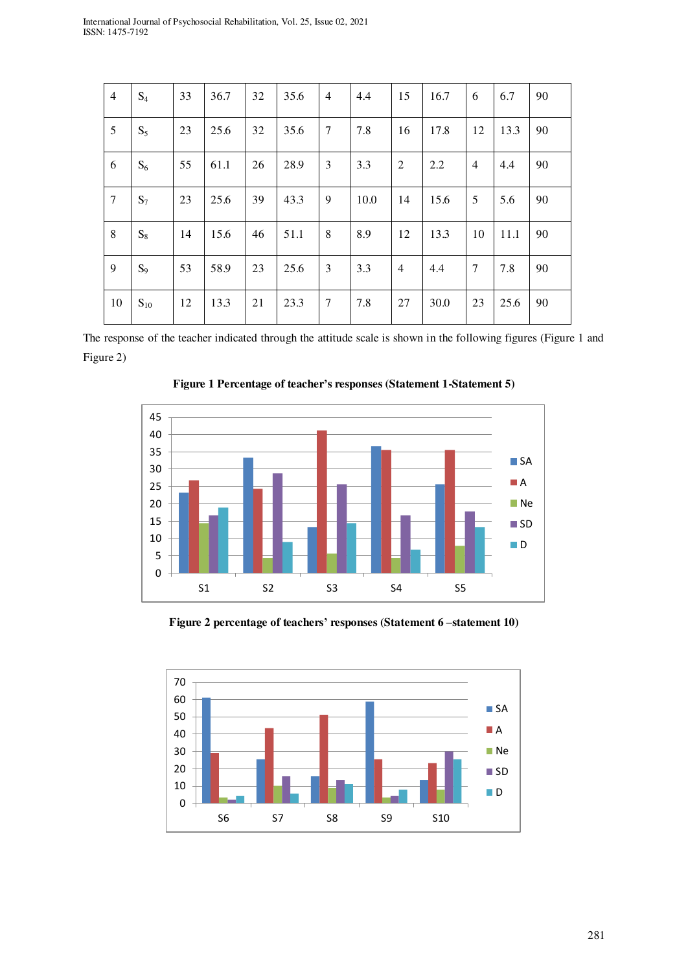| $\overline{4}$  | $S_4$    | 33 | 36.7 | 32 | 35.6 | $\overline{4}$ | 4.4  | 15             | 16.7 | 6              | 6.7  | 90 |
|-----------------|----------|----|------|----|------|----------------|------|----------------|------|----------------|------|----|
| 5               | $S_5$    | 23 | 25.6 | 32 | 35.6 | 7              | 7.8  | 16             | 17.8 | 12             | 13.3 | 90 |
| 6               | $S_6$    | 55 | 61.1 | 26 | 28.9 | 3              | 3.3  | $\overline{2}$ | 2.2  | $\overline{4}$ | 4.4  | 90 |
| $7\phantom{.0}$ | $S_7$    | 23 | 25.6 | 39 | 43.3 | 9              | 10.0 | 14             | 15.6 | 5              | 5.6  | 90 |
| 8               | $S_8$    | 14 | 15.6 | 46 | 51.1 | 8              | 8.9  | 12             | 13.3 | 10             | 11.1 | 90 |
| 9               | $S_9$    | 53 | 58.9 | 23 | 25.6 | 3              | 3.3  | $\overline{4}$ | 4.4  | 7              | 7.8  | 90 |
| 10              | $S_{10}$ | 12 | 13.3 | 21 | 23.3 | $\overline{7}$ | 7.8  | 27             | 30.0 | 23             | 25.6 | 90 |

The response of the teacher indicated through the attitude scale is shown in the following figures (Figure 1 and Figure 2)



**Figure 1 Percentage of teacher's responses (Statement 1-Statement 5)** 

**Figure 2 percentage of teachers' responses (Statement 6 –statement 10)** 

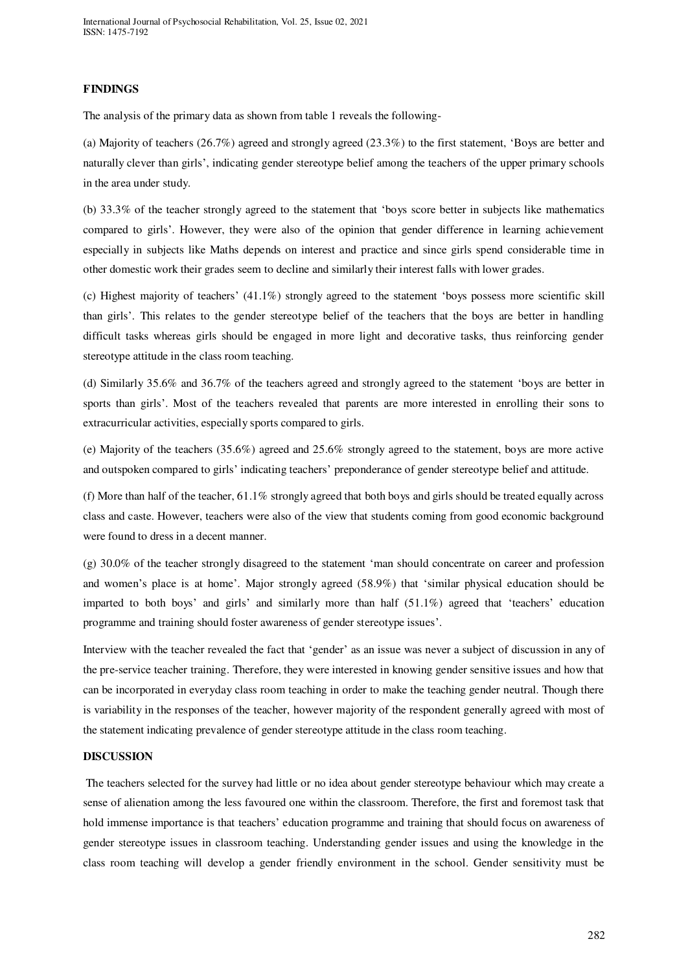## **FINDINGS**

The analysis of the primary data as shown from table 1 reveals the following-

(a) Majority of teachers (26.7%) agreed and strongly agreed (23.3%) to the first statement, 'Boys are better and naturally clever than girls', indicating gender stereotype belief among the teachers of the upper primary schools in the area under study.

(b) 33.3% of the teacher strongly agreed to the statement that 'boys score better in subjects like mathematics compared to girls'. However, they were also of the opinion that gender difference in learning achievement especially in subjects like Maths depends on interest and practice and since girls spend considerable time in other domestic work their grades seem to decline and similarly their interest falls with lower grades.

(c) Highest majority of teachers' (41.1%) strongly agreed to the statement 'boys possess more scientific skill than girls'. This relates to the gender stereotype belief of the teachers that the boys are better in handling difficult tasks whereas girls should be engaged in more light and decorative tasks, thus reinforcing gender stereotype attitude in the class room teaching.

(d) Similarly 35.6% and 36.7% of the teachers agreed and strongly agreed to the statement 'boys are better in sports than girls'. Most of the teachers revealed that parents are more interested in enrolling their sons to extracurricular activities, especially sports compared to girls.

(e) Majority of the teachers (35.6%) agreed and 25.6% strongly agreed to the statement, boys are more active and outspoken compared to girls' indicating teachers' preponderance of gender stereotype belief and attitude.

(f) More than half of the teacher,  $61.1\%$  strongly agreed that both boys and girls should be treated equally across class and caste. However, teachers were also of the view that students coming from good economic background were found to dress in a decent manner.

(g) 30.0% of the teacher strongly disagreed to the statement 'man should concentrate on career and profession and women's place is at home'. Major strongly agreed (58.9%) that 'similar physical education should be imparted to both boys' and girls' and similarly more than half (51.1%) agreed that 'teachers' education programme and training should foster awareness of gender stereotype issues'.

Interview with the teacher revealed the fact that 'gender' as an issue was never a subject of discussion in any of the pre-service teacher training. Therefore, they were interested in knowing gender sensitive issues and how that can be incorporated in everyday class room teaching in order to make the teaching gender neutral. Though there is variability in the responses of the teacher, however majority of the respondent generally agreed with most of the statement indicating prevalence of gender stereotype attitude in the class room teaching.

## **DISCUSSION**

 The teachers selected for the survey had little or no idea about gender stereotype behaviour which may create a sense of alienation among the less favoured one within the classroom. Therefore, the first and foremost task that hold immense importance is that teachers' education programme and training that should focus on awareness of gender stereotype issues in classroom teaching. Understanding gender issues and using the knowledge in the class room teaching will develop a gender friendly environment in the school. Gender sensitivity must be